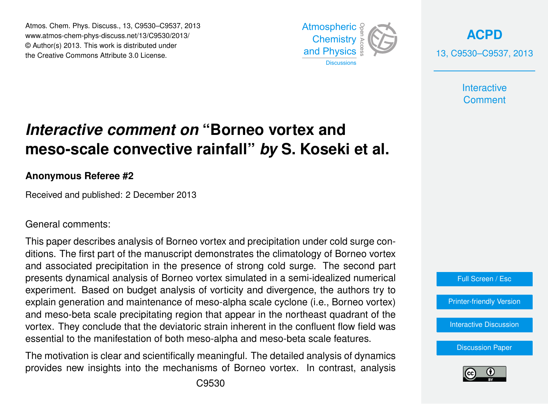Atmos. Chem. Phys. Discuss., 13, C9530–C9537, 2013 Atmospheric www.atmos-chem-phys-discuss.net/13/C9530/2013/<br>@ Author(a) 2012, This work is distributed under © Author(s) 2013. This work is distributed under the Creative Commons Attribute 3.0 License.



**[ACPD](http://www.atmos-chem-phys-discuss.net)** 13, C9530–C9537, 2013

> **Interactive Comment**

#### meso-scale convective rainfall" *by* S. Koseki et al. ،<br>آ .<br>و *Interactive comment on* "Borneo vortex and

### **Anonymous Referee #2**

Received and published: 2 December 2013

#### General comments:

This paper describes analysis of Borneo vortex and precipitation under cold surge con-V lr<br>.. ditions. The first part of the manuscript demonstrates the climatology of Borneo vortex and associated precipitation in the presence of strong cold surge. The second part **SIS OF DUTTED V** experiment. Based on budget analysis of vorticity and divergence, the authors try to explain generation and maintenance of meso-alpha scale cyclone (i.e., Borneo vortex) o<br>כל<br>מר gos modo presents dynamical analysis of Borneo vortex simulated in a semi-idealized numerical น<br>ว<br>ก and meso-beta scale precipitating region that appear in the northeast quadrant of the GEO GEORGIUM essential to the manifestation of both meso-alpha and meso-beta scale features.<br>. open<br>Open fi<br>e vortex. They conclude that the deviatoric strain inherent in the confluent flow field was

The motivation is clear and scientifically meaningful. The detailed analysis of dynamics provides new insights into the mechanisms of Borneo vortex. In contrast, analysis  $\overline{\phantom{a}}$ 





Earth System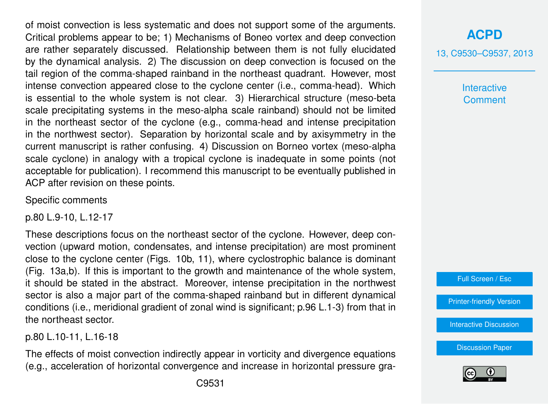of moist convection is less systematic and does not support some of the arguments. Critical problems appear to be; 1) Mechanisms of Boneo vortex and deep convection are rather separately discussed. Relationship between them is not fully elucidated by the dynamical analysis. 2) The discussion on deep convection is focused on the tail region of the comma-shaped rainband in the northeast quadrant. However, most intense convection appeared close to the cyclone center (i.e., comma-head). Which is essential to the whole system is not clear. 3) Hierarchical structure (meso-beta scale precipitating systems in the meso-alpha scale rainband) should not be limited in the northeast sector of the cyclone (e.g., comma-head and intense precipitation in the northwest sector). Separation by horizontal scale and by axisymmetry in the current manuscript is rather confusing. 4) Discussion on Borneo vortex (meso-alpha scale cyclone) in analogy with a tropical cyclone is inadequate in some points (not acceptable for publication). I recommend this manuscript to be eventually published in ACP after revision on these points.

Specific comments

p.80 L.9-10, L.12-17

These descriptions focus on the northeast sector of the cyclone. However, deep convection (upward motion, condensates, and intense precipitation) are most prominent close to the cyclone center (Figs. 10b, 11), where cyclostrophic balance is dominant (Fig. 13a,b). If this is important to the growth and maintenance of the whole system, it should be stated in the abstract. Moreover, intense precipitation in the northwest sector is also a major part of the comma-shaped rainband but in different dynamical conditions (i.e., meridional gradient of zonal wind is significant; p.96 L.1-3) from that in the northeast sector.

p.80 L.10-11, L.16-18

The effects of moist convection indirectly appear in vorticity and divergence equations (e.g., acceleration of horizontal convergence and increase in horizontal pressure gra13, C9530–C9537, 2013

**Interactive Comment** 



[Printer-friendly Version](http://www.atmos-chem-phys-discuss.net/13/C9530/2013/acpd-13-C9530-2013-print.pdf)

[Interactive Discussion](http://www.atmos-chem-phys-discuss.net/13/21079/2013/acpd-13-21079-2013-discussion.html)

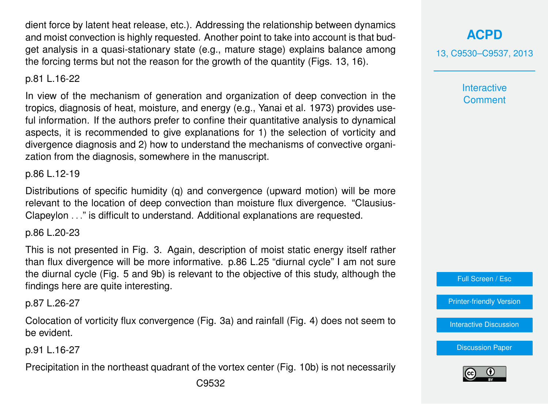dient force by latent heat release, etc.). Addressing the relationship between dynamics and moist convection is highly requested. Another point to take into account is that budget analysis in a quasi-stationary state (e.g., mature stage) explains balance among the forcing terms but not the reason for the growth of the quantity (Figs. 13, 16).

## p.81 L.16-22

In view of the mechanism of generation and organization of deep convection in the tropics, diagnosis of heat, moisture, and energy (e.g., Yanai et al. 1973) provides useful information. If the authors prefer to confine their quantitative analysis to dynamical aspects, it is recommended to give explanations for 1) the selection of vorticity and divergence diagnosis and 2) how to understand the mechanisms of convective organization from the diagnosis, somewhere in the manuscript.

### p.86 L.12-19

Distributions of specific humidity (q) and convergence (upward motion) will be more relevant to the location of deep convection than moisture flux divergence. "Clausius-Clapeylon . . ." is difficult to understand. Additional explanations are requested.

#### p.86 L.20-23

This is not presented in Fig. 3. Again, description of moist static energy itself rather than flux divergence will be more informative. p.86 L.25 "diurnal cycle" I am not sure the diurnal cycle (Fig. 5 and 9b) is relevant to the objective of this study, although the findings here are quite interesting.

p.87 L.26-27

Colocation of vorticity flux convergence (Fig. 3a) and rainfall (Fig. 4) does not seem to be evident.

p.91 L.16-27

Precipitation in the northeast quadrant of the vortex center (Fig. 10b) is not necessarily

13, C9530–C9537, 2013

**Interactive Comment** 

Full Screen / Esc

[Printer-friendly Version](http://www.atmos-chem-phys-discuss.net/13/C9530/2013/acpd-13-C9530-2013-print.pdf)

[Interactive Discussion](http://www.atmos-chem-phys-discuss.net/13/21079/2013/acpd-13-21079-2013-discussion.html)

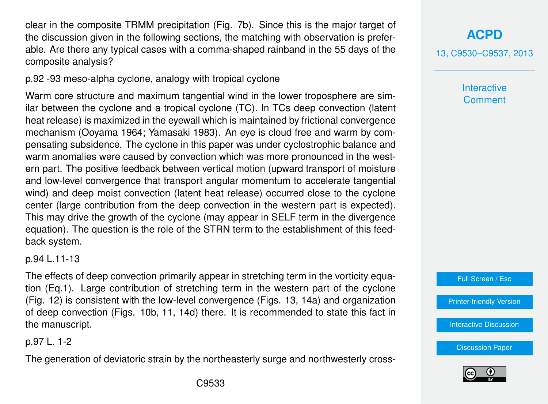clear in the composite TRMM precipitation (Fig. 7b). Since this is the major target of the discussion given in the following sections, the matching with observation is preferable. Are there any typical cases with a comma-shaped rainband in the 55 days of the composite analysis?

p.92 -93 meso-alpha cyclone, analogy with tropical cyclone

Warm core structure and maximum tangential wind in the lower troposphere are similar between the cyclone and a tropical cyclone (TC). In TCs deep convection (latent heat release) is maximized in the eyewall which is maintained by frictional convergence mechanism (Ooyama 1964; Yamasaki 1983). An eye is cloud free and warm by compensating subsidence. The cyclone in this paper was under cyclostrophic balance and warm anomalies were caused by convection which was more pronounced in the western part. The positive feedback between vertical motion (upward transport of moisture and low-level convergence that transport angular momentum to accelerate tangential wind) and deep moist convection (latent heat release) occurred close to the cyclone center (large contribution from the deep convection in the western part is expected). This may drive the growth of the cyclone (may appear in SELF term in the divergence equation). The question is the role of the STRN term to the establishment of this feedback system.

p.94 L.11-13

The effects of deep convection primarily appear in stretching term in the vorticity equation (Eq.1). Large contribution of stretching term in the western part of the cyclone (Fig. 12) is consistent with the low-level convergence (Figs. 13, 14a) and organization of deep convection (Figs. 10b, 11, 14d) there. It is recommended to state this fact in the manuscript.

p.97 L. 1-2

The generation of deviatoric strain by the northeasterly surge and northwesterly cross-

# **[ACPD](http://www.atmos-chem-phys-discuss.net)**

13, C9530–C9537, 2013

**Interactive Comment** 



[Printer-friendly Version](http://www.atmos-chem-phys-discuss.net/13/C9530/2013/acpd-13-C9530-2013-print.pdf)

[Interactive Discussion](http://www.atmos-chem-phys-discuss.net/13/21079/2013/acpd-13-21079-2013-discussion.html)

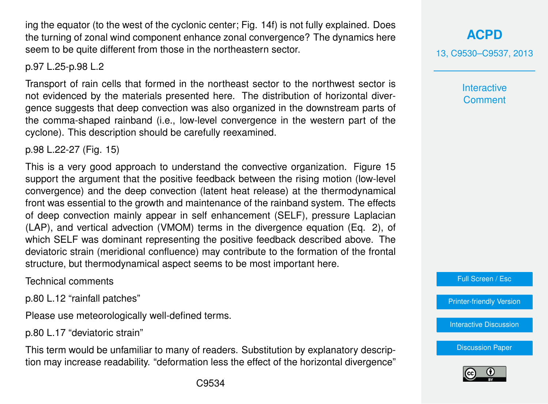ing the equator (to the west of the cyclonic center; Fig. 14f) is not fully explained. Does the turning of zonal wind component enhance zonal convergence? The dynamics here seem to be quite different from those in the northeastern sector.

p.97 L.25-p.98 L.2

Transport of rain cells that formed in the northeast sector to the northwest sector is not evidenced by the materials presented here. The distribution of horizontal divergence suggests that deep convection was also organized in the downstream parts of the comma-shaped rainband (i.e., low-level convergence in the western part of the cyclone). This description should be carefully reexamined.

p.98 L.22-27 (Fig. 15)

This is a very good approach to understand the convective organization. Figure 15 support the argument that the positive feedback between the rising motion (low-level convergence) and the deep convection (latent heat release) at the thermodynamical front was essential to the growth and maintenance of the rainband system. The effects of deep convection mainly appear in self enhancement (SELF), pressure Laplacian (LAP), and vertical advection (VMOM) terms in the divergence equation (Eq. 2), of which SELF was dominant representing the positive feedback described above. The deviatoric strain (meridional confluence) may contribute to the formation of the frontal structure, but thermodynamical aspect seems to be most important here.

Technical comments

p.80 L.12 "rainfall patches"

Please use meteorologically well-defined terms.

p.80 L.17 "deviatoric strain"

This term would be unfamiliar to many of readers. Substitution by explanatory description may increase readability. "deformation less the effect of the horizontal divergence"

# **[ACPD](http://www.atmos-chem-phys-discuss.net)**

13, C9530–C9537, 2013

**Interactive Comment** 

Full Screen / Esc

[Printer-friendly Version](http://www.atmos-chem-phys-discuss.net/13/C9530/2013/acpd-13-C9530-2013-print.pdf)

[Interactive Discussion](http://www.atmos-chem-phys-discuss.net/13/21079/2013/acpd-13-21079-2013-discussion.html)

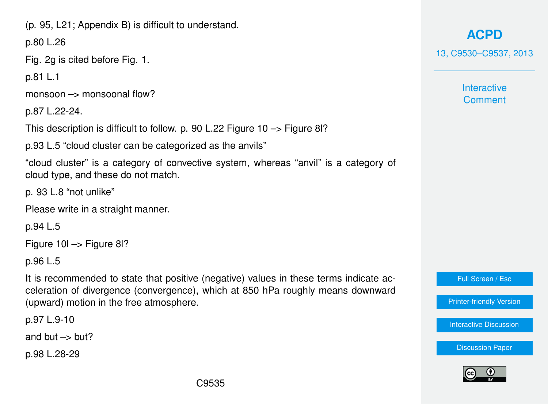(p. 95, L21; Appendix B) is difficult to understand.

p.80 L.26

Fig. 2g is cited before Fig. 1.

p.81 L.1

monsoon –> monsoonal flow?

p.87 L.22-24.

This description is difficult to follow. p. 90 L.22 Figure 10 –> Figure 8l?

p.93 L.5 "cloud cluster can be categorized as the anvils"

"cloud cluster" is a category of convective system, whereas "anvil" is a category of cloud type, and these do not match.

p. 93 L.8 "not unlike"

Please write in a straight manner.

p.94 L.5

Figure 10l –> Figure 8l?

p.96 L.5

It is recommended to state that positive (negative) values in these terms indicate acceleration of divergence (convergence), which at 850 hPa roughly means downward (upward) motion in the free atmosphere.

p.97 L.9-10

and but  $\rightarrow$  but?

p.98 L.28-29

**[ACPD](http://www.atmos-chem-phys-discuss.net)**

13, C9530–C9537, 2013

**Interactive Comment** 

Full Screen / Esc

[Printer-friendly Version](http://www.atmos-chem-phys-discuss.net/13/C9530/2013/acpd-13-C9530-2013-print.pdf)

[Interactive Discussion](http://www.atmos-chem-phys-discuss.net/13/21079/2013/acpd-13-21079-2013-discussion.html)

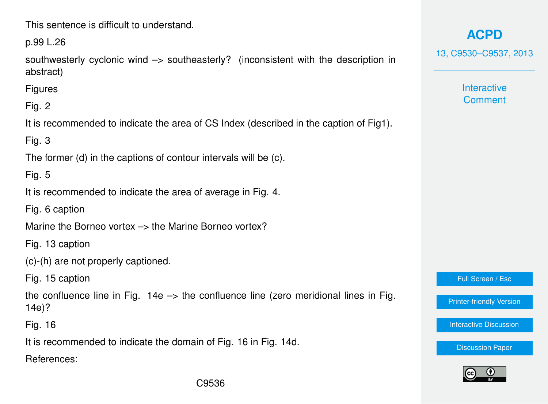This sentence is difficult to understand.

p.99 L.26

southwesterly cyclonic wind –> southeasterly? (inconsistent with the description in abstract)

**Figures** 

Fig. 2

It is recommended to indicate the area of CS Index (described in the caption of Fig1).

Fig. 3

The former (d) in the captions of contour intervals will be (c).

Fig. 5

It is recommended to indicate the area of average in Fig. 4.

Fig. 6 caption

Marine the Borneo vortex  $\rightarrow$  the Marine Borneo vortex?

Fig. 13 caption

(c)-(h) are not properly captioned.

Fig. 15 caption

the confluence line in Fig.  $14e \rightarrow$  the confluence line (zero meridional lines in Fig. 14e)?

Fig. 16

It is recommended to indicate the domain of Fig. 16 in Fig. 14d.

References:

**[ACPD](http://www.atmos-chem-phys-discuss.net)** 13, C9530–C9537, 2013

> **Interactive Comment**

Full Screen / Esc

[Printer-friendly Version](http://www.atmos-chem-phys-discuss.net/13/C9530/2013/acpd-13-C9530-2013-print.pdf)

[Interactive Discussion](http://www.atmos-chem-phys-discuss.net/13/21079/2013/acpd-13-21079-2013-discussion.html)